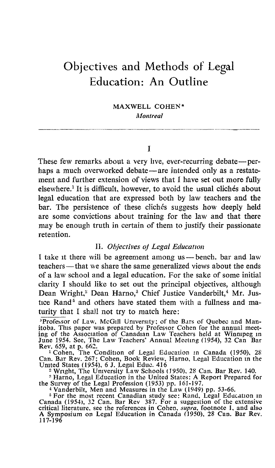# Objectives and Methods of Legal Education: An Outline

MAXWELL COHEN\* Montreal

## $\mathbf{r}$

These few remarks about a very live, ever-recurring debate—perhaps a much overworked debate-are intended only as a restatement and further extension of views that <sup>I</sup> have set out more fully elsewhere.' It is difficult, however, to avoid the usual clichés about legal education that are expressed both by law teachers and the bar. The persistence of these clichés suggests how deeply held are some convictions about training for the law and that there may be enough truth in certain of them to justify their passionate retention.

#### II. Objectives of Legal Education

I take it there will be agreement among us -- bench. bar and law teachers—that we share the same generalized views about the ends of a law school and a legal education. For the sake of some initial clarity I should like to set out the principal objectives, although Dean Wright,<sup>2</sup> Dean Harno,<sup>3</sup> Chief Justice Vanderbilt,<sup>4</sup> Mr. Justice Rand<sup>5</sup> and others have stated them with a fullness and maturity that <sup>I</sup> shall not try to match here :

<sup>\*</sup>Professor of Law, McGill University; of the Bars of Quebec and Mantitoba. This paper was prepared by Professor Cohen for the annual meetting of the Association of Canadian Law Teachers held at Winnipeg in June 1954. Se

<sup>1</sup> Cohen, The Condition of Legal Education in Canada (1950), 28 Can. Bar Rev. 267; Cohen, Book Review, Harno, Legal Education in the<br>United States (1954), 6 J. Legal Educ. 416<br>
<sup>28</sup> Warsht, The University Law Sebes (1959), 28 Can. Bar Bay, 140

<sup>2</sup> Wright, The University Law Schools (1950), 28 Can. Bar Rev. 140.<br><sup>2</sup> Harno, Legal Education in the United States: A Report Prepared for

the Survey of the Legal Profession (1953) pp. 161-197.<br>
<sup>4</sup> Vanderbilt, Men and Measures in the Law (1949) pp. 53-66.<br>
<sup>4</sup> Van the Law (1949) press in the Law (1949)

<sup>6</sup> For the most recent Canadian study see: Rand, Legal Education in Canada (1954), 32 Can. Bar Rev 387. For a suggestion of the extensive critical literature, see the references in Cohen, *supra*, footnote 1, and also A 117-196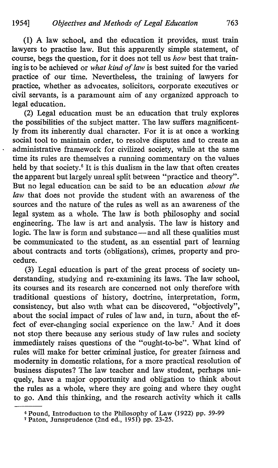(1) A law school, and the education it provides, must train lawyers to practise law. But this apparently simple statement, of course, begs the question, for it does not tell us how best that training is to be achieved or what kind of law is best suited for the varied practice of our time. Nevertheless, the training of lawyers for practice, whether as advocates, solicitors, corporate executives or civil servants, is a paramount aim of any organized approach to legal education.

(2) Legal education must be an education that truly explores the possibilities of the subject matter. The law suffers magnificently from its inherently dual character. For it is at once a working social tool to maintain order, to resolve disputes and to create an administrative framework for civilized society, while at the same time its rules are themselves a running commentary on the values held by that society.<sup>6</sup> It is this dualism in the law that often creates the apparent but largely unreal split between "practice and theory". But no legal education can be said to be an education about the law that does not provide the student with an awareness of the sources and the nature of the rules as well as an awareness of the legal system as a whole. The law is both philosophy and social engineering. The law is art and analysis. The law is history and logic. The law is form and substance-and all these qualities must be communicated to the student, as an essential part of learning about contracts and torts (obligations), crimes, property and procedure.

(3) Legal education is part of the great process of society understanding, studying and re-examining its laws. The law school, its courses and its research are concerned not only therefore with traditional questions of history, doctrine, interpretation, form, consistency, but also with what can be discovered, "objectively", about the social impact of rules of law and, in turn, about the effect of ever-changing social experience on the law.' And it does not stop there because any serious study of law rules and society immediately raises questions of the "ought-to-be". What kind of rules will make for better criminal justice, for greater fairness and modernity in domestic relations, for a more practical resolution of business disputes? The law teacher and law student, perhaps uniquely, have a major opportunity and obligation to think about the rules as a whole, where they are going and where they ought to go. And this thinking, and the research activity which it calls

<sup>6</sup> Pound, Introduction to the Philosophy of Law (1922) pp. 59-99 <sup>7</sup> Paton, Jurisprudence (2nd ed., 1951) pp. 23-25.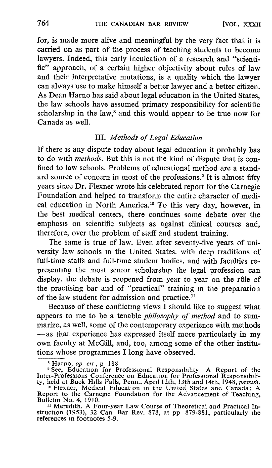for, is made more alive and meaningful by the very fact that it is carried on as part of the process of teaching students to become lawyers. Indeed, this early inculcation of a research and "scientific" approach, of a certain higher objectivity about rules of law and their interpretative mutations, is a quality which the lawyer can always use to make himself a better lawyer and a better citizen. As Dean Harno has said about legal education in the United States, the law schools have assumed primary responsibility for scientific scholarship in the law,<sup>8</sup> and this would appear to be true now for Canada as well.

# III. Methods of Legal Education

If there is any dispute today about legal education it probably has to do with methods. But this is not the kind of dispute that is confined to law schools. Problems of educational method are a standard source of concern in most of the professions.' It is almost fifty years since Dr. Flexner wrote his celebrated report for the Carnegie Foundation and helped to transform the entire character of medical education in North America.<sup>10</sup> To this very day, however, in the best medical centers, there continues some debate over the emphasis on scientific subjects as against clinical courses and, therefore, over the problem of staff and student training.

The same is true of law. Even after seventy-five years of university law schools in the United States, with deep traditions of full-time staffs and full-time student bodies, and with faculties representing the most senior scholarship the legal profession can display, the debate is reopened from year to year on the rôle of the practising bar and of "practical" training in the preparation of the law student for admission and practice.<sup>11</sup>

Because of these conflicting views I should like to suggest what appears to me to be a tenable philosophy of method and to summarize, as well, some of the contemporary experience with methods -as that experience has expressed itself more particularly in my own faculty at McGill, and, too, among some of the other institutions whose programmes <sup>I</sup> long have observed.

 $\frac{11}{11}$  Meredith, A Four-year Law Course of Theoretical and Practical Instruction (1953), 32 Can Bar Rev. 878, at pp 879-881, particularly the references in footnotes 5-9.

<sup>&</sup>lt;sup>8</sup> Harno, op cit, p 188

<sup>&</sup>lt;sup>9</sup> See, Education for Professional Responsibility A Report of the<br>er-Professions Conference on Education for Professional Responsibili

Inter-Protessions Conference on Education for Professional Responsibility, held at Buck Hills Falls, Penn., April 12th, 13th and 14th, 1948, *passim.*<br><sup>10</sup> Flexner, Medical Education in the United States and Canada: A Repo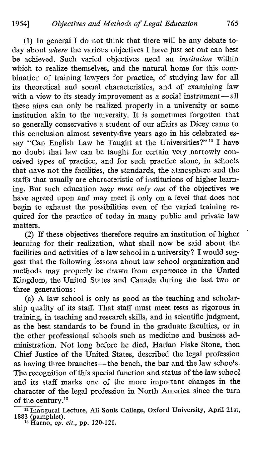(1) In general <sup>I</sup> do not think that there will be any debate today about where the various objectives I have just set out can best be achieved. Such varied objectives need an *institution* within which to realize themselves, and the natural home for this combination of training lawyers for practice, of studying law for all its theoretical and social characteristics, and of examining law with a view to its steady improvement as a social instrument-all these aims can only be realized properly in a university or some institution akin to the university. It is sometimes forgotten that so generally conservative a student of our affairs as Dicey came to this conclusion almost seventy-five years ago in his celebrated essay "Can English Law be Taught at the Universities?"<sup>12</sup> I have no doubt that law can be taught for certain very narrowly conceived types of practice, and for such practice alone, in schools that have not the facilities, the standards, the atmosphere and the staffs that usually are characteristic of institutions of higher learning. But such education may meet only one of the objectives we have agreed upon and may meet it only on a level that does not begin to exhaust the possibilities even of the varied training required for the practice of today in many public and private law matters.

(2) If these objectives therefore require an institution of higher learning for their realization, what shall now be said about the facilities and activities of alaw school in a university? I would suggest that the following lessons about law school organization and methods may properly be drawn from experience in the United Kingdom, the United States and Canada during the last two or three generations:

(a) A law school is only as good as the teaching and scholarship quality of its staff. That staff must meet tests as rigorous in training, in teaching and research skills, and in scientific judgment, as the best standards to be found in the graduate faculties, or in the other professional schools such as medicine and business administration. Not long before he died, Harlan Fiske Stone, then Chief Justice of the United States, described the legal profession as having three branches-the bench, the bar and the law schools. The recognition of this special function and status of the law school and its staff marks one of the more important changes in the character of the legal profession in North America since the turn of the century.<sup>13</sup>

<sup>12</sup> Inaugural Lecture, All Souls College, Oxford University, April 21st, 1883 (pamphlet).<br><sup>13</sup> Harno, *op. cit.*, pp. 120-121.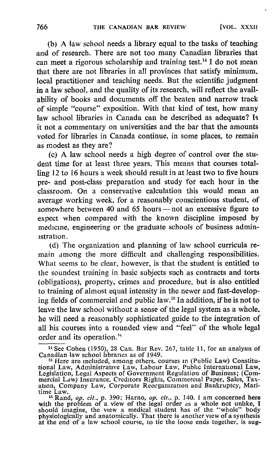(b) A law school needs a library equal to the tasks of teaching and of research. There are not too many Canadian libraries that can meet a rigorous scholarship and training test.<sup>14</sup> I do not mean that there are not libraries in all provinces that satisfy minimum, local practitioner and teaching needs. But the scientific judgment in a law school, and the quality of its research, will reflect the availability of books and documents off the beaten and narrow track of simple "course" exposition. With that kind of test, how many law school libraries in Canada can be described as adequate? Is it not a commentary on universities and the bar that the amounts voted for libraries in Canada continue, in some places, to remain as modest as they are?

(c) A law school needs <sup>a</sup> high degree of control over the student time for at least three years. This means that courses totalling 12 to 16 hours a week should result in at least two to five hours pre- and post-class preparation and study for each hour in the classroom. On a conservative calculation this would mean an average working week, for a reasonably conscientious student, of somewhere between 40 and 65 hours-not an excessive figure to expect when compared with the known discipline imposed by medicine, engineering or the graduate schools of business administration.

(d) The organization and planning of law school curricula remain among the more difficult and challenging responsibilities. What seems to be clear, however, is that the student is entitled to the soundest training in basic subjects such as contracts and torts (obligations), property, crimes and procedure, but is also entitled to training of almost equal intensity in the newer and fast-developing fields of commercial and public law.<sup>15</sup> In addition, if he is not to leave the law school without a sense of the legal system as a whole, he will need a reasonably sophisticated guide to the integration of all his courses into a rounded view and "feel" of the whole legal order and its operation."

<sup>14</sup> See Cohen (1950), 28 Can. Bar Rev. 267, table 11, for an analysis of Canadian law school libraries as of 1949.

is Here are included, among others, courses in (Public Law) Constitutional Law, Administrative Law, Labour Law, Public International Law, Legislation, Legal Aspects of Government Regulation of Business ; (Commercial Law) Insurance, Creditors Rights, Commercial Paper, Sales, Tax-ation, Company Law, Corporate Reorganization and Bankruptcy, Mari-

time Law.<br>
<sup>16</sup> Rand, *op. cit.*, p. 390; Harno, *op. cit.*, p. 140. I am concerned here<br>
with the problem of a view of the legal order as a whole not unlike, I<br>
should imagine, the view a medical student has of the "whol at the end of a law school course, to tie the loose ends together, is sug-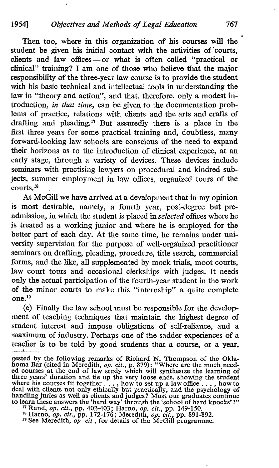Then too, where in this organization of his courses will the student be given his initial contact with the activities of courts, clients and law offices-or what is often called "practical or clinical" training? <sup>I</sup> am one of those who believe that the major responsibility of the three-year law course is to provide the student with his basic technical and intellectual tools in understanding the law in "theory and action", and that, therefore, only a modest introduction, in that time, can be given to the documentation problems of practice, relations with clients and the arts and crafts of drafting and pleading.<sup>17</sup> But assuredly there is a place in the first three years for some practical training and, doubtless, many forward-looking law schools are conscious of the need to expand their horizons as to the introduction of clinical experience, at an early stage, through a variety of devices. These devices include seminars with practising lawyers on procedural and kindred subjects, summer employment in law offices, organized tours of the  $counts.<sup>18</sup>$ 

At McGill we have arrived at a development that in my opinion is most desirable, namely, a fourth year, post-degree but preadmission, in which the student is placed in selected offices where he is treated as a working junior and where he is employed for the better part of each day. At the same time, he remains under univergity supervision for the purpose of well-organized practitioner seminars on drafting, pleading, procedure, title search, commercial forms, and the like, all supplemented by mock trials, moot courts, law court tours and occasional clerkships with judges. It needs only the actual participation of the fourth-year student in the work of the minor courts to make this "internship" a quite complete one. 19

(e) Finally the law school must be responsible for the development of teaching techniques that maintain the highest degree of student interest and impose obligations of self-reliance, and a maximum of industry. Perhaps one of the sadder experiences of a teaclier is to be told by good students that a course, or a year,

gested by the following remarks of Richard N. Thompson of the Oklahoma Bar (cited in Meredith, *op. cit.*, p. 879): "Where are the much needed courses at the end of law study which will synthesize the learning of three ye deal with clients not only ethically but practically, and the psychology of handling juries as well as clients and judges? Must our graduates continue to learn these answers the 'hard way' through the 'school of hard knocks'?"

<sup>&</sup>lt;sup>17</sup> Rand, *op. cit.*, pp. 402-403; Harno, *op. cit.*, pp. 149-150.<br><sup>18</sup> Harno, *op. cit.*, pp. 172-176; Meredith, *op. cit.*, pp. 891-892.<br><sup>19</sup> See Meredith, *op cit*, for details of the McGill programme.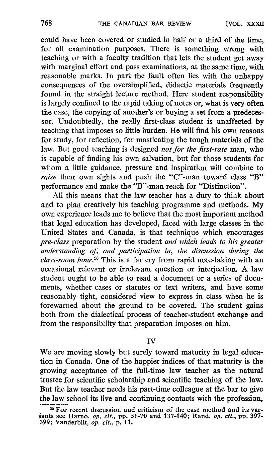could have been covered or studied in half or a third of the time, for all examination purposes. There is something wrong with teaching or with a faculty tradition that lets the student get away with marginal effort and pass examinations, at the same time, with reasonable marks. In part the fault often lies with the unhappy consequences of the oversimplified, didactic materials frequently found in the straight lecture method. Here student responsibility is largely confined to the rapid taking of notes or, what is very often the case, the copying of another's or buying a set from a predecessor. Undoubtedly, the really first-class student is unaffected by teaching that imposes so little burden. He will find his own reasons for study, for reflection, for masticating the tough materials of the law. But good teaching is designed *not for the first-rate* man, who is capable of finding his own salvation, but for those students for whom a little guidance, pressure and inspiration will combine to raise their own sights and push the "C"-man toward class "B" performance and make the "B"-man reach for "Distinction".

All this means that the law teacher has a duty to think about and to plan creatively his teaching programme and methods. My own experience leads me to believe that the most important method that legal education has developed, faced with large classes in the United States and Canada, is that technique which encourages pre-class preparation by the student and which leads to his greater understanding of, and participation in, the discussion during the  $class$ -room hour.<sup>20</sup> This is a far cry from rapid note-taking with an occasional relevant or irrelevant question or interjection . A law student ought to be able to read a document or a series of documents, whether cases or statutes or text writers, and have some reasonably tight, considered view to express in class when he is forewarned about the ground to be covered. The student gains both from the dialectical process of teacher-student exchange and from the responsibility that preparation imposes on him.

### IV

We are moving slowly but surely toward maturity in legal education in Canada. One of the happier indices of that maturity is the growing acceptance of the full-time law teacher as the natural trustee for scientific scholarship and scientific teaching of the law. But the law teacher needs his part-time colleague at the bar to give the law school its live and continuing contacts with the profession,

<sup>&</sup>lt;sup>20</sup> For recent discussion and criticism of the case method and its variants see Harno, *op. cit.*, pp. 51-70 and 137-140; Rand, *op. cit.*, pp. 397-<br>2004 Vandarkik 399; Vanderbilt, *op. cit.*, p. 11.